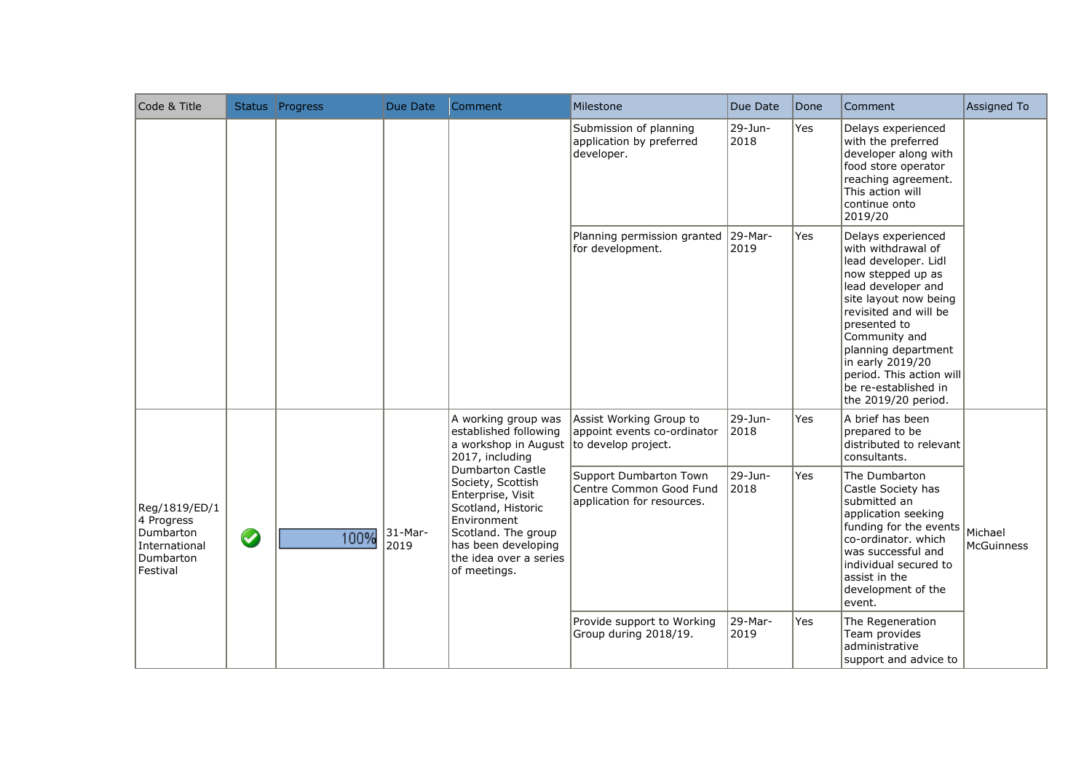| Code & Title                                                                       |           | Status Progress | Due Date           | Comment                                                                                                                                                                                        | Milestone                                                                       | Due Date           | Done | Comment                                                                                                                                                                                                                                                                                                              | Assigned To                  |
|------------------------------------------------------------------------------------|-----------|-----------------|--------------------|------------------------------------------------------------------------------------------------------------------------------------------------------------------------------------------------|---------------------------------------------------------------------------------|--------------------|------|----------------------------------------------------------------------------------------------------------------------------------------------------------------------------------------------------------------------------------------------------------------------------------------------------------------------|------------------------------|
|                                                                                    |           |                 |                    |                                                                                                                                                                                                | Submission of planning<br>application by preferred<br>developer.                | 29-Jun-<br>2018    | Yes  | Delays experienced<br>with the preferred<br>developer along with<br>food store operator<br>reaching agreement.<br>This action will<br>continue onto<br>2019/20                                                                                                                                                       |                              |
|                                                                                    |           |                 |                    |                                                                                                                                                                                                | Planning permission granted<br>for development.                                 | $ 29-Mar-$<br>2019 | Yes  | Delays experienced<br>with withdrawal of<br>lead developer. Lidl<br>now stepped up as<br>lead developer and<br>site layout now being<br>revisited and will be<br>presented to<br>Community and<br>planning department<br>in early 2019/20<br>period. This action will<br>be re-established in<br>the 2019/20 period. |                              |
|                                                                                    |           |                 |                    | A working group was<br>established following<br>a workshop in August<br>2017, including                                                                                                        | Assist Working Group to<br>appoint events co-ordinator<br>to develop project.   | 29-Jun-<br>2018    | Yes  | A brief has been<br>prepared to be<br>distributed to relevant<br>consultants.                                                                                                                                                                                                                                        |                              |
| Reg/1819/ED/1<br>4 Progress<br>Dumbarton<br>International<br>Dumbarton<br>Festival | $\bullet$ | 100%            | $31$ -Mar-<br>2019 | <b>Dumbarton Castle</b><br>Society, Scottish<br>Enterprise, Visit<br>Scotland, Historic<br>Environment<br>Scotland. The group<br>has been developing<br>the idea over a series<br>of meetings. | Support Dumbarton Town<br>Centre Common Good Fund<br>application for resources. | 29-Jun-<br>2018    | Yes  | The Dumbarton<br>Castle Society has<br>submitted an<br>application seeking<br>funding for the events<br>co-ordinator. which<br>was successful and<br>individual secured to<br>assist in the<br>development of the<br>event.                                                                                          | Michael<br><b>McGuinness</b> |
|                                                                                    |           |                 |                    |                                                                                                                                                                                                | Provide support to Working<br>Group during 2018/19.                             | 29-Mar-<br>2019    | Yes  | The Regeneration<br>Team provides<br>administrative<br>support and advice to                                                                                                                                                                                                                                         |                              |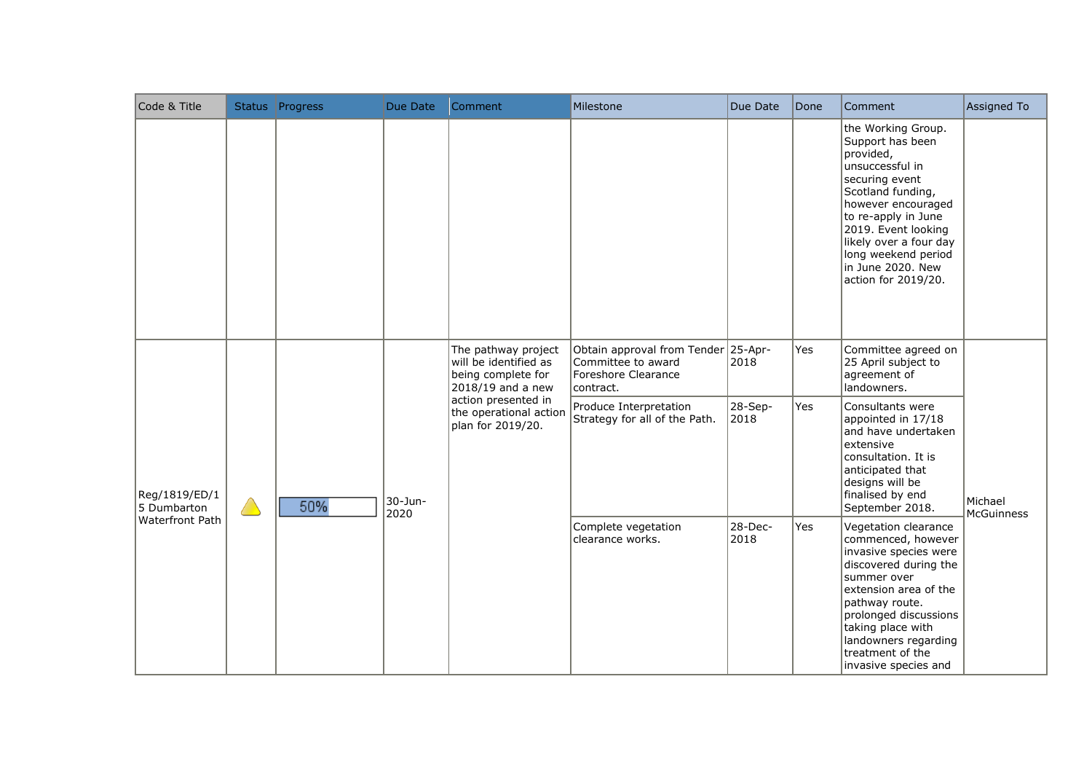| Code & Title                 |             | Status Progress | Due Date        | Comment                                                                                 | Milestone                                                                                     | Due Date        | Done | Comment                                                                                                                                                                                                                                                                        | Assigned To                  |
|------------------------------|-------------|-----------------|-----------------|-----------------------------------------------------------------------------------------|-----------------------------------------------------------------------------------------------|-----------------|------|--------------------------------------------------------------------------------------------------------------------------------------------------------------------------------------------------------------------------------------------------------------------------------|------------------------------|
|                              |             |                 |                 |                                                                                         |                                                                                               |                 |      | the Working Group.<br>Support has been<br>provided,<br>unsuccessful in<br>securing event<br>Scotland funding,<br>however encouraged<br>to re-apply in June<br>2019. Event looking<br>likely over a four day<br>long weekend period<br>in June 2020. New<br>action for 2019/20. |                              |
|                              |             |                 |                 | The pathway project<br>will be identified as<br>being complete for<br>2018/19 and a new | Obtain approval from Tender 25-Apr-<br>Committee to award<br>Foreshore Clearance<br>contract. | 2018            | Yes  | Committee agreed on<br>25 April subject to<br>agreement of<br>landowners.                                                                                                                                                                                                      |                              |
| Reg/1819/ED/1<br>5 Dumbarton | $\triangle$ | 50%             | 30-Jun-<br>2020 | action presented in<br>the operational action<br>plan for 2019/20.                      | Produce Interpretation<br>Strategy for all of the Path.                                       | 28-Sep-<br>2018 | Yes  | Consultants were<br>appointed in 17/18<br>and have undertaken<br>extensive<br>consultation. It is<br>anticipated that<br>designs will be<br>finalised by end<br>September 2018.                                                                                                | Michael<br><b>McGuinness</b> |
| Waterfront Path              |             |                 |                 |                                                                                         | Complete vegetation<br>clearance works.                                                       | 28-Dec-<br>2018 | Yes  | Vegetation clearance<br>commenced, however<br>invasive species were<br>discovered during the<br>summer over<br>extension area of the<br>pathway route.<br>prolonged discussions<br>taking place with<br>landowners regarding<br>treatment of the<br>invasive species and       |                              |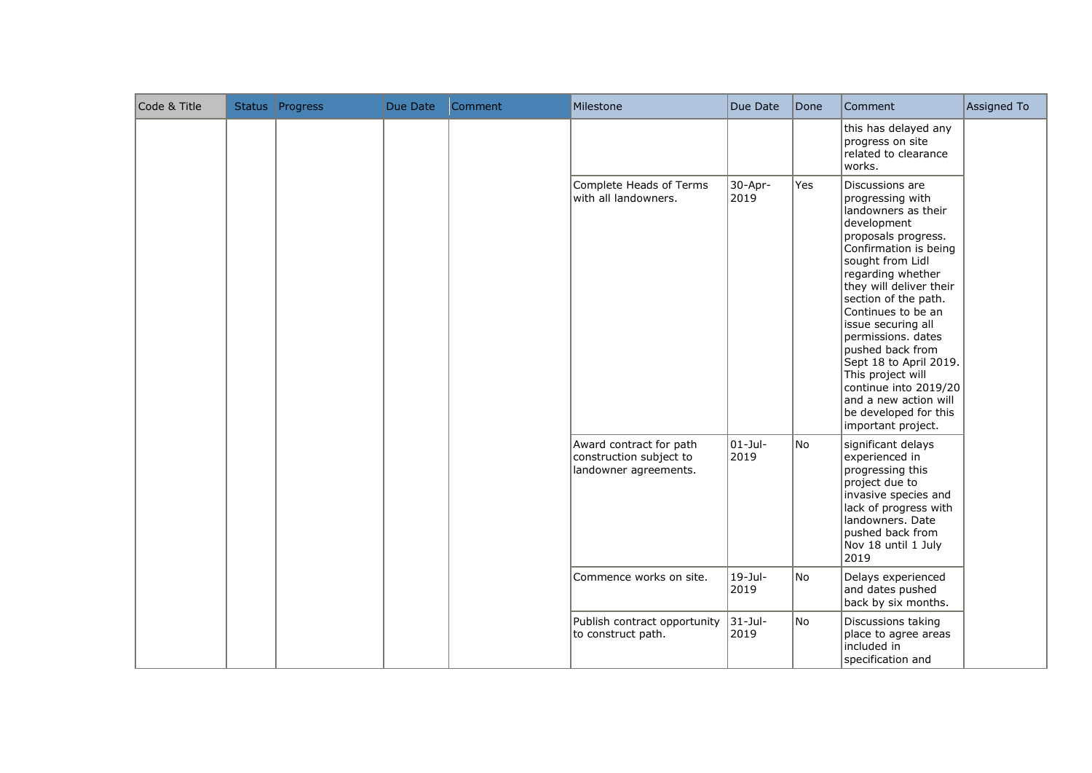| Code & Title | Status Progress | Due Date | Comment | Milestone                                                                   | Due Date            | Done | Comment                                                                                                                                                                                                                                                                                                                                                                                                                                                     | Assigned To |
|--------------|-----------------|----------|---------|-----------------------------------------------------------------------------|---------------------|------|-------------------------------------------------------------------------------------------------------------------------------------------------------------------------------------------------------------------------------------------------------------------------------------------------------------------------------------------------------------------------------------------------------------------------------------------------------------|-------------|
|              |                 |          |         |                                                                             |                     |      | this has delayed any<br>progress on site<br>related to clearance<br>works.                                                                                                                                                                                                                                                                                                                                                                                  |             |
|              |                 |          |         | Complete Heads of Terms<br>with all landowners.                             | $30 - Apr-$<br>2019 | Yes  | Discussions are<br>progressing with<br>landowners as their<br>development<br>proposals progress.<br>Confirmation is being<br>sought from Lidl<br>regarding whether<br>they will deliver their<br>section of the path.<br>Continues to be an<br>issue securing all<br>permissions. dates<br>pushed back from<br>Sept 18 to April 2019.<br>This project will<br>continue into 2019/20<br>and a new action will<br>be developed for this<br>important project. |             |
|              |                 |          |         | Award contract for path<br>construction subject to<br>landowner agreements. | $01 -$ Jul-<br>2019 | No.  | significant delays<br>experienced in<br>progressing this<br>project due to<br>invasive species and<br>lack of progress with<br>landowners. Date<br>pushed back from<br>Nov 18 until 1 July<br>2019                                                                                                                                                                                                                                                          |             |
|              |                 |          |         | Commence works on site.                                                     | $19 -$ Jul-<br>2019 | No.  | Delays experienced<br>and dates pushed<br>back by six months.                                                                                                                                                                                                                                                                                                                                                                                               |             |
|              |                 |          |         | Publish contract opportunity<br>to construct path.                          | $31 -$ Jul-<br>2019 | No   | Discussions taking<br>place to agree areas<br>included in<br>specification and                                                                                                                                                                                                                                                                                                                                                                              |             |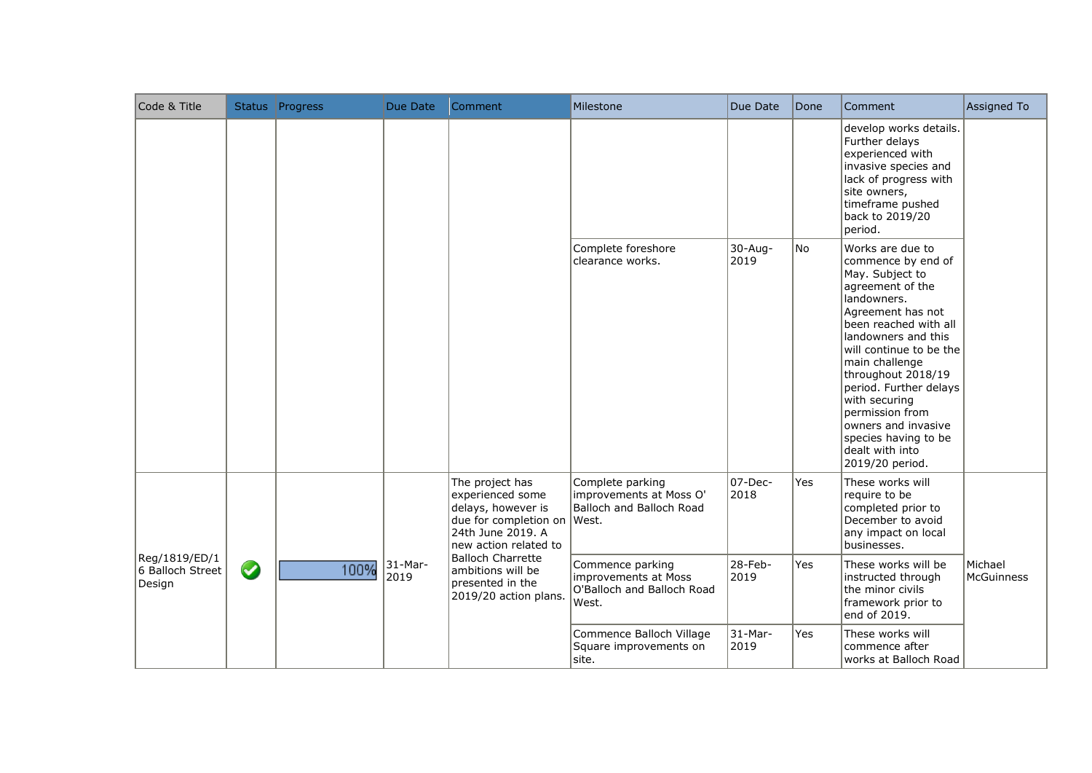| Code & Title                                |           | Status Progress | Due Date           | Comment                                                                                                                                | Milestone                                                                       | Due Date        | Done | Comment                                                                                                                                                                                                                                                                                                                                                                                 | Assigned To           |
|---------------------------------------------|-----------|-----------------|--------------------|----------------------------------------------------------------------------------------------------------------------------------------|---------------------------------------------------------------------------------|-----------------|------|-----------------------------------------------------------------------------------------------------------------------------------------------------------------------------------------------------------------------------------------------------------------------------------------------------------------------------------------------------------------------------------------|-----------------------|
|                                             |           |                 |                    |                                                                                                                                        |                                                                                 |                 |      | develop works details.<br>Further delays<br>experienced with<br>invasive species and<br>lack of progress with<br>site owners,<br>timeframe pushed<br>back to 2019/20<br>period.                                                                                                                                                                                                         |                       |
|                                             |           |                 |                    |                                                                                                                                        | Complete foreshore<br>clearance works.                                          | 30-Aug-<br>2019 | No   | Works are due to<br>commence by end of<br>May. Subject to<br>agreement of the<br>landowners.<br>Agreement has not<br>been reached with all<br>landowners and this<br>will continue to be the<br>main challenge<br>throughout 2018/19<br>period. Further delays<br>with securing<br>permission from<br>owners and invasive<br>species having to be<br>dealt with into<br>2019/20 period. |                       |
|                                             |           |                 |                    | The project has<br>experienced some<br>delays, however is<br>due for completion on West.<br>24th June 2019. A<br>new action related to | Complete parking<br>improvements at Moss O'<br>Balloch and Balloch Road         | 07-Dec-<br>2018 | Yes  | These works will<br>require to be<br>completed prior to<br>December to avoid<br>any impact on local<br>businesses.                                                                                                                                                                                                                                                                      |                       |
| Reg/1819/ED/1<br>6 Balloch Street<br>Design | $\bullet$ | 100%            | $31$ -Mar-<br>2019 | Balloch Charrette<br>ambitions will be<br>presented in the<br>2019/20 action plans                                                     | Commence parking<br>improvements at Moss<br>O'Balloch and Balloch Road<br>West. | 28-Feb-<br>2019 | Yes  | These works will be<br>instructed through<br>the minor civils<br>framework prior to<br>end of 2019.                                                                                                                                                                                                                                                                                     | Michael<br>McGuinness |
|                                             |           |                 |                    |                                                                                                                                        | Commence Balloch Village<br>Square improvements on<br>site.                     | 31-Mar-<br>2019 | Yes  | These works will<br>commence after<br>works at Balloch Road                                                                                                                                                                                                                                                                                                                             |                       |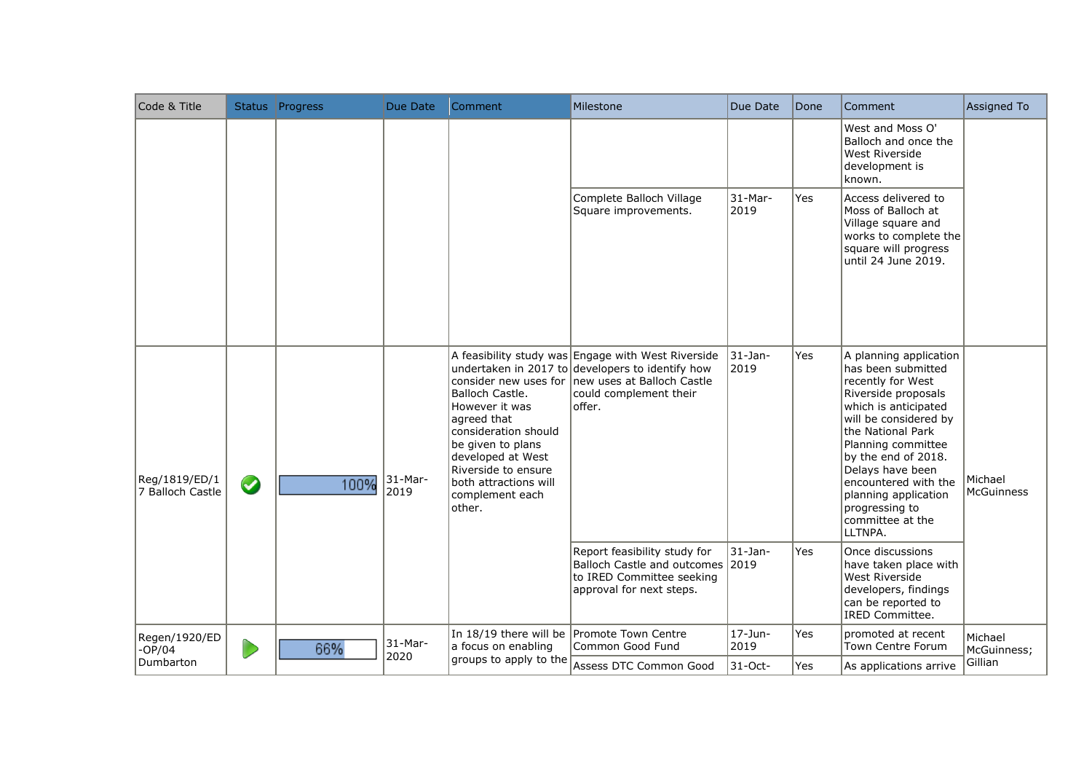| Code & Title                      |            | Status Progress | Due Date          | Comment                                                                                                                                                                                         | Milestone                                                                                                                                                                                       | Due Date              | Done       | Comment                                                                                                                                                                                                                                                                                                                          | Assigned To                  |
|-----------------------------------|------------|-----------------|-------------------|-------------------------------------------------------------------------------------------------------------------------------------------------------------------------------------------------|-------------------------------------------------------------------------------------------------------------------------------------------------------------------------------------------------|-----------------------|------------|----------------------------------------------------------------------------------------------------------------------------------------------------------------------------------------------------------------------------------------------------------------------------------------------------------------------------------|------------------------------|
|                                   |            |                 |                   |                                                                                                                                                                                                 |                                                                                                                                                                                                 |                       |            | West and Moss O'<br>Balloch and once the<br>West Riverside<br>development is<br>known.                                                                                                                                                                                                                                           |                              |
|                                   |            |                 |                   |                                                                                                                                                                                                 | Complete Balloch Village<br>Square improvements.                                                                                                                                                | $31 - Mar -$<br>2019  | Yes        | Access delivered to<br>Moss of Balloch at<br>Village square and<br>works to complete the<br>square will progress<br>until 24 June 2019.                                                                                                                                                                                          |                              |
| Reg/1819/ED/1<br>7 Balloch Castle | $\bigcirc$ | 100%            | $31-Mar-$<br>2019 | Balloch Castle.<br>However it was<br>agreed that<br>consideration should<br>be given to plans<br>developed at West<br>Riverside to ensure<br>both attractions will<br>complement each<br>other. | A feasibility study was Engage with West Riverside<br>undertaken in 2017 to developers to identify how<br>consider new uses for Inew uses at Balloch Castle<br>could complement their<br>offer. | $ 31 - Jan -$<br>2019 | <b>Yes</b> | A planning application<br>has been submitted<br>recently for West<br>Riverside proposals<br>which is anticipated<br>will be considered by<br>the National Park<br>Planning committee<br>by the end of 2018.<br>Delays have been<br>encountered with the<br>planning application<br>progressing to<br>committee at the<br>LLTNPA. | Michael<br><b>McGuinness</b> |
|                                   |            |                 |                   |                                                                                                                                                                                                 | Report feasibility study for<br>Balloch Castle and outcomes 2019<br>to IRED Committee seeking<br>approval for next steps.                                                                       | 31-Jan-               | Yes        | Once discussions<br>have taken place with<br><b>West Riverside</b><br>developers, findings<br>can be reported to<br><b>IRED Committee.</b>                                                                                                                                                                                       |                              |
| Regen/1920/ED<br>$-OP/04$         | D          | 66%             | 31-Mar-           | a focus on enabling                                                                                                                                                                             | In 18/19 there will be Promote Town Centre<br>Common Good Fund                                                                                                                                  | 17-Jun-<br>2019       | Yes        | promoted at recent<br>Town Centre Forum                                                                                                                                                                                                                                                                                          | Michael<br>McGuinness;       |
| Dumbarton                         |            |                 | 2020              | groups to apply to the                                                                                                                                                                          | Assess DTC Common Good                                                                                                                                                                          | 31-Oct-               | Yes        | As applications arrive                                                                                                                                                                                                                                                                                                           | Gillian                      |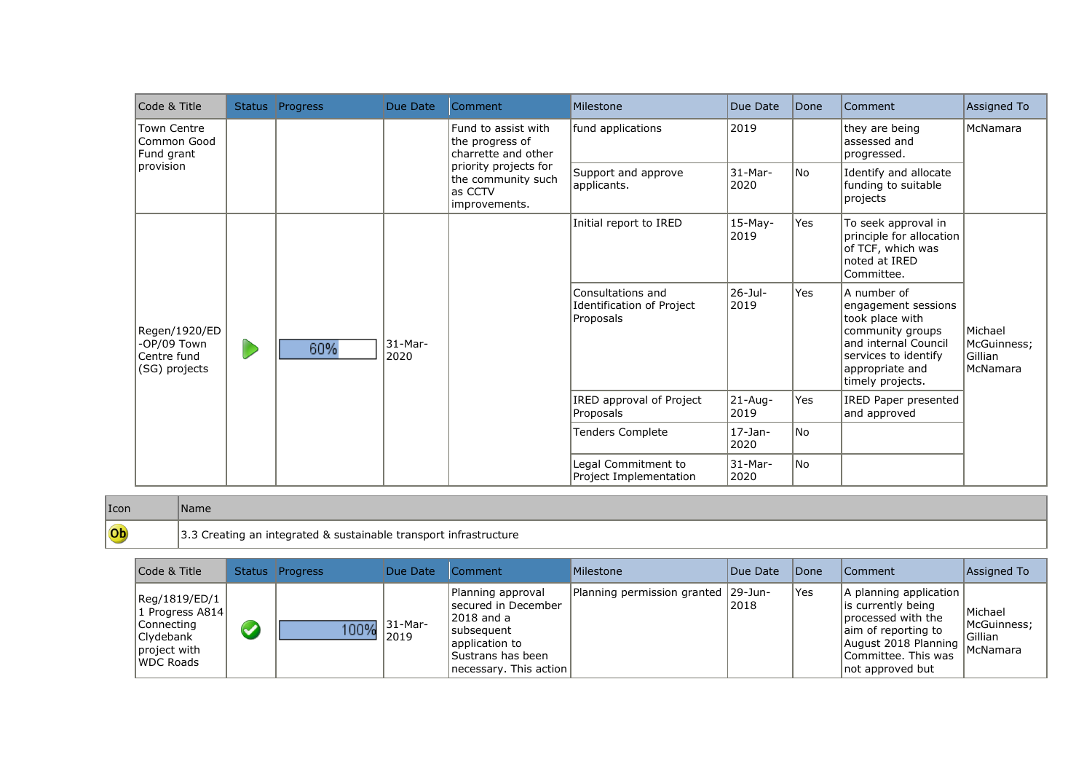| Code & Title                                                 | Status Progress | Due Date             | Comment                                                                 | Milestone                                                   | Due Date            | Done      | Comment                                                                                                                                                          | Assigned To                                   |
|--------------------------------------------------------------|-----------------|----------------------|-------------------------------------------------------------------------|-------------------------------------------------------------|---------------------|-----------|------------------------------------------------------------------------------------------------------------------------------------------------------------------|-----------------------------------------------|
| Town Centre<br>Common Good<br>Fund grant                     |                 |                      | Fund to assist with<br>the progress of<br>charrette and other           | fund applications                                           | 2019                |           | they are being<br>assessed and<br>progressed.                                                                                                                    | McNamara                                      |
| provision                                                    |                 |                      | priority projects for<br>the community such<br>as CCTV<br>improvements. | Support and approve<br>applicants.                          | 31-Mar-<br>2020     | <b>No</b> | Identify and allocate<br>funding to suitable<br>projects                                                                                                         |                                               |
|                                                              |                 |                      |                                                                         | Initial report to IRED                                      | 15-May-<br>2019     | Yes       | To seek approval in<br>principle for allocation<br>of TCF, which was<br>noted at IRED<br>Committee.                                                              |                                               |
| Regen/1920/ED<br>-OP/09 Town<br>Centre fund<br>(SG) projects | 60%             | $ 31 -$ Mar-<br>2020 |                                                                         | Consultations and<br>Identification of Project<br>Proposals | 26-Jul-<br>2019     | Yes       | A number of<br>engagement sessions<br>took place with<br>community groups<br>and internal Council<br>services to identify<br>appropriate and<br>timely projects. | Michael<br>McGuinness;<br>Gillian<br>McNamara |
|                                                              |                 |                      |                                                                         | IRED approval of Project<br>Proposals                       | $21 - Aug-$<br>2019 | Yes       | IRED Paper presented<br>and approved                                                                                                                             |                                               |
|                                                              |                 |                      |                                                                         | <b>Tenders Complete</b>                                     | $17-$ Jan-<br>2020  | No.       |                                                                                                                                                                  |                                               |
|                                                              |                 |                      |                                                                         | Legal Commitment to<br>Project Implementation               | 31-Mar-<br>2020     | No        |                                                                                                                                                                  |                                               |

| Icon |                                                                   |
|------|-------------------------------------------------------------------|
| Ob   | 3.3 Creating an integrated & sustainable transport infrastructure |

| Code & Title                                                                              |                      | Status Progress | Due Date                  | Comment                                                                                                                                           | Milestone                           | Due Date | <i><b>IDone</b></i> | <b>Comment</b>                                                                                                                                                         | Assigned To                        |
|-------------------------------------------------------------------------------------------|----------------------|-----------------|---------------------------|---------------------------------------------------------------------------------------------------------------------------------------------------|-------------------------------------|----------|---------------------|------------------------------------------------------------------------------------------------------------------------------------------------------------------------|------------------------------------|
| Reg/1819/ED/1<br>1 Progress A814<br> Connecting<br>Clydebank<br>project with<br>WDC Roads | $\blacktriangledown$ |                 | $\frac{100\%}{2019}$ 2019 | Planning approval<br>Isecured in December<br>12018 and a<br><b>Isubsequent</b><br>lapplication to<br>Sustrans has been<br>Inecessary. This action | Planning permission granted 29-Jun- | 2018     | 'Yes                | A planning application<br>lis currently being<br>processed with the<br>aim of reporting to<br>August 2018 Planning McNamara<br>Committee. This was<br>not approved but | Michael<br>McGuinness;<br> Gillian |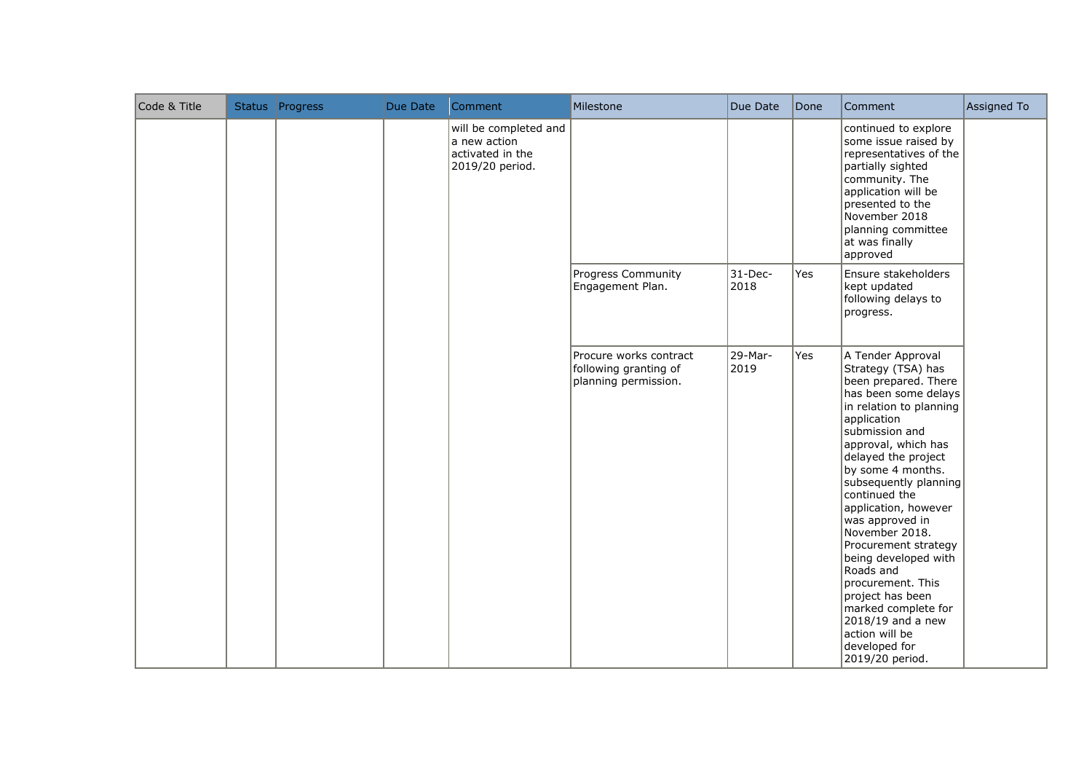| Code & Title | Status Progress | Due Date                                                                     | Comment | Milestone                                                               | Due Date        | Done                                                                                                                                                                                                                          | Comment                                                                                                                                                                                                                                                                                                                                                                                                                                                                                                                                 | Assigned To |
|--------------|-----------------|------------------------------------------------------------------------------|---------|-------------------------------------------------------------------------|-----------------|-------------------------------------------------------------------------------------------------------------------------------------------------------------------------------------------------------------------------------|-----------------------------------------------------------------------------------------------------------------------------------------------------------------------------------------------------------------------------------------------------------------------------------------------------------------------------------------------------------------------------------------------------------------------------------------------------------------------------------------------------------------------------------------|-------------|
|              |                 | will be completed and<br>a new action<br>activated in the<br>2019/20 period. |         |                                                                         |                 | continued to explore<br>some issue raised by<br>representatives of the<br>partially sighted<br>community. The<br>application will be<br>presented to the<br>November 2018<br>planning committee<br>at was finally<br>approved |                                                                                                                                                                                                                                                                                                                                                                                                                                                                                                                                         |             |
|              |                 |                                                                              |         | Progress Community<br>Engagement Plan.                                  | 31-Dec-<br>2018 | Yes                                                                                                                                                                                                                           | Ensure stakeholders<br>kept updated<br>following delays to<br>progress.                                                                                                                                                                                                                                                                                                                                                                                                                                                                 |             |
|              |                 |                                                                              |         | Procure works contract<br>following granting of<br>planning permission. | 29-Mar-<br>2019 | Yes                                                                                                                                                                                                                           | A Tender Approval<br>Strategy (TSA) has<br>been prepared. There<br>has been some delays<br>in relation to planning<br>application<br>submission and<br>approval, which has<br>delayed the project<br>by some 4 months.<br>subsequently planning<br>continued the<br>application, however<br>was approved in<br>November 2018.<br>Procurement strategy<br>being developed with<br>Roads and<br>procurement. This<br>project has been<br>marked complete for<br>$2018/19$ and a new<br>action will be<br>developed for<br>2019/20 period. |             |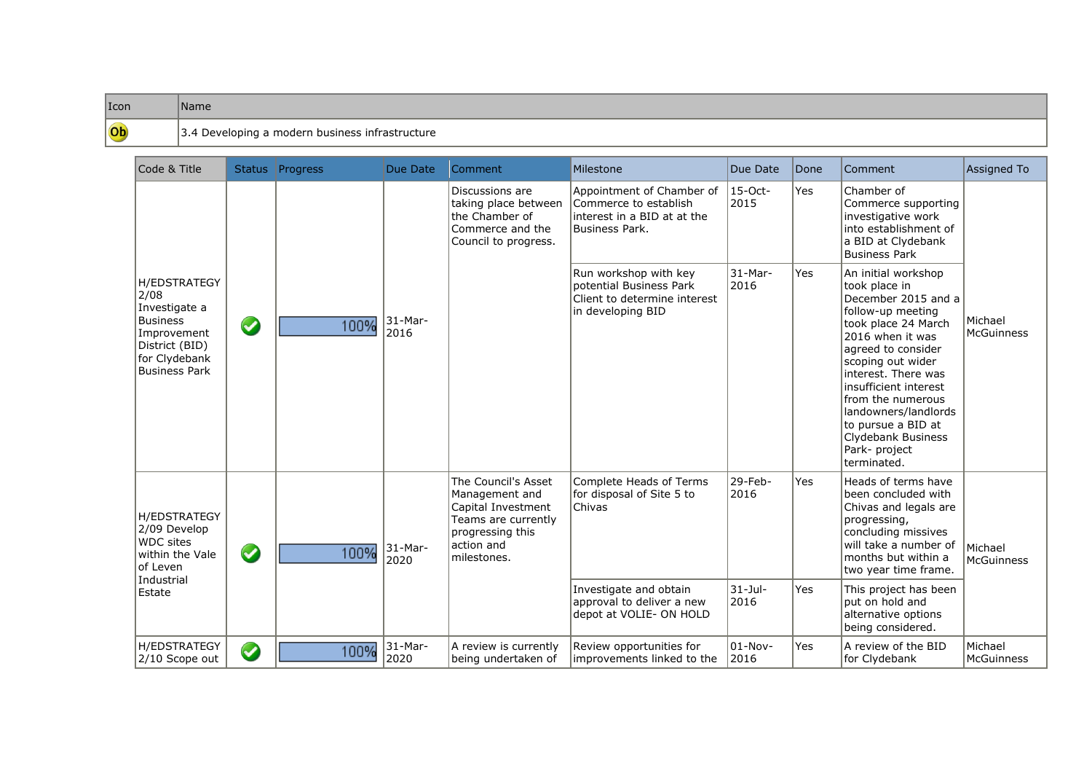## Icon Name Ob

## 3.4 Developing a modern business infrastructure

|        | Code & Title                                                                                                                      |            | Status Progress | Due Date        | Comment                                                                                                                             | Milestone                                                                                                             | Due Date                               | Done       | Comment                                                                                                                                                                                                                                                                                                                                         | <b>Assigned To</b>    |
|--------|-----------------------------------------------------------------------------------------------------------------------------------|------------|-----------------|-----------------|-------------------------------------------------------------------------------------------------------------------------------------|-----------------------------------------------------------------------------------------------------------------------|----------------------------------------|------------|-------------------------------------------------------------------------------------------------------------------------------------------------------------------------------------------------------------------------------------------------------------------------------------------------------------------------------------------------|-----------------------|
|        |                                                                                                                                   |            |                 |                 | Discussions are<br>taking place between<br>the Chamber of<br>Commerce and the<br>Council to progress.                               | Appointment of Chamber of<br>Commerce to establish<br>interest in a BID at at the<br><b>Business Park.</b>            | 15-Oct-<br>2015                        | Yes        | Chamber of<br>Commerce supporting<br>investigative work<br>into establishment of<br>a BID at Clydebank<br><b>Business Park</b>                                                                                                                                                                                                                  |                       |
| 2/08   | <b>H/EDSTRATEGY</b><br>Investigate a<br><b>Business</b><br>Improvement<br>District (BID)<br>for Clydebank<br><b>Business Park</b> | $\bigcirc$ | 100%            | 31-Mar-<br>2016 |                                                                                                                                     | Run workshop with key<br>potential Business Park<br>Client to determine interest<br>in developing BID                 | 31-Mar-<br>2016                        | Yes        | An initial workshop<br>took place in<br>December 2015 and a<br>follow-up meeting<br>took place 24 March<br>2016 when it was<br>agreed to consider<br>scoping out wider<br>interest. There was<br>insufficient interest<br>from the numerous<br>landowners/landlords<br>to pursue a BID at<br>Clydebank Business<br>Park- project<br>terminated. | Michael<br>McGuinness |
| Estate | <b>H/EDSTRATEGY</b><br>2/09 Develop<br><b>WDC</b> sites<br>within the Vale<br>of Leven<br>Industrial                              | $\bigcirc$ | 100%            | 31-Mar-<br>2020 | The Council's Asset<br>Management and<br>Capital Investment<br>Teams are currently<br>progressing this<br>action and<br>milestones. | Complete Heads of Terms<br>for disposal of Site 5 to<br>Chivas<br>Investigate and obtain<br>approval to deliver a new | 29-Feb-<br>2016<br>$31 -$ Jul-<br>2016 | Yes<br>Yes | Heads of terms have<br>been concluded with<br>Chivas and legals are<br>progressing,<br>concluding missives<br>will take a number of<br>months but within a<br>two year time frame.<br>This project has been<br>put on hold and<br>alternative options                                                                                           | Michael<br>McGuinness |
|        | <b>H/EDSTRATEGY</b>                                                                                                               |            |                 | 31-Mar-         | A review is currently                                                                                                               | depot at VOLIE- ON HOLD<br>Review opportunities for                                                                   | $01-Nov-$                              | Yes        | being considered.<br>A review of the BID                                                                                                                                                                                                                                                                                                        | Michael               |
|        | 2/10 Scope out                                                                                                                    | $\bullet$  | 100%            | 2020            | being undertaken of                                                                                                                 | improvements linked to the                                                                                            | 2016                                   |            | for Clydebank                                                                                                                                                                                                                                                                                                                                   | <b>McGuinness</b>     |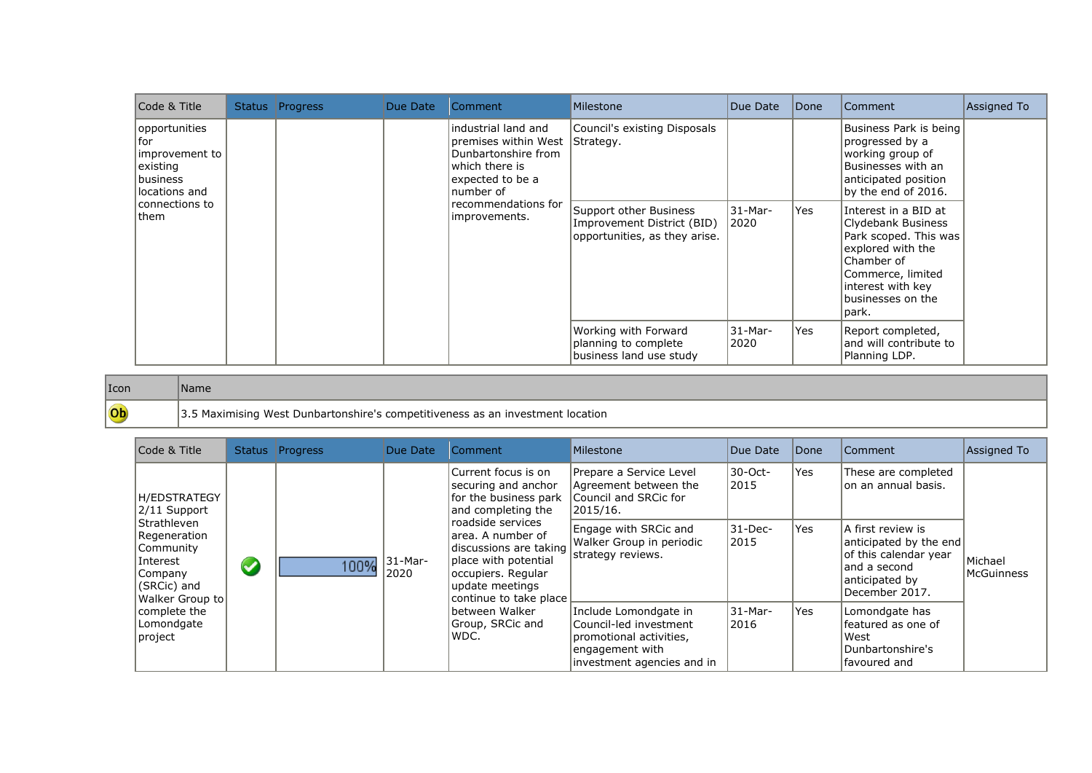| Code & Title                                                                                              | Status Progress | Due Date | Comment                                                                                                                                                        | Milestone                                                                                                                          | Due Date        | Done | <b>Comment</b>                                                                                                                                                                                                                                                                                                       | Assigned To |
|-----------------------------------------------------------------------------------------------------------|-----------------|----------|----------------------------------------------------------------------------------------------------------------------------------------------------------------|------------------------------------------------------------------------------------------------------------------------------------|-----------------|------|----------------------------------------------------------------------------------------------------------------------------------------------------------------------------------------------------------------------------------------------------------------------------------------------------------------------|-------------|
| opportunities<br>for<br>improvement to<br>existing<br>business<br>locations and<br>connections to<br>them |                 |          | lindustrial land and<br>premises within West<br>Dunbartonshire from<br>which there is<br>expected to be a<br>number of<br>recommendations for<br>improvements. | Council's existing Disposals<br>Strategy.<br>Support other Business<br>Improvement District (BID)<br>opportunities, as they arise. | 31-Mar-<br>2020 | Yes  | Business Park is being<br>progressed by a<br>working group of<br>Businesses with an<br>anticipated position<br>by the end of 2016.<br>Interest in a BID at<br>Clydebank Business<br>Park scoped. This was<br>explored with the<br>Chamber of<br>Commerce, limited<br>interest with key<br>businesses on the<br>park. |             |
|                                                                                                           |                 |          |                                                                                                                                                                | Working with Forward<br>planning to complete<br>business land use study                                                            | 31-Mar-<br>2020 | Yes  | Report completed,<br>and will contribute to<br>Planning LDP.                                                                                                                                                                                                                                                         |             |

## Icon Name

Ob

3.5 Maximising West Dunbartonshire's competitiveness as an investment location

| Code & Title                                                                                      |                      | Status Progress | Due Date        | Comment                                                                                                                                                                                                                                                   | Milestone                                                                                                                   | Due Date         | Done | Comment                                                                                                                  | Assigned To                  |
|---------------------------------------------------------------------------------------------------|----------------------|-----------------|-----------------|-----------------------------------------------------------------------------------------------------------------------------------------------------------------------------------------------------------------------------------------------------------|-----------------------------------------------------------------------------------------------------------------------------|------------------|------|--------------------------------------------------------------------------------------------------------------------------|------------------------------|
| H/EDSTRATEGY<br>2/11 Support                                                                      |                      | 100%            | 31-Mar-<br>2020 | Current focus is on<br>securing and anchor<br>for the business park<br>and completing the<br>roadside services<br>larea. A number of<br>discussions are taking<br>place with potential<br>occupiers. Regular<br>update meetings<br>continue to take place | Prepare a Service Level<br>Agreement between the<br>Council and SRCic for<br>2015/16.                                       | 30-Oct-<br> 2015 | Yes  | These are completed<br>on an annual basis.                                                                               |                              |
| Strathleven<br>Regeneration<br>Community<br>Interest<br>Company<br>(SRCic) and<br>Walker Group to | $\blacktriangledown$ |                 |                 |                                                                                                                                                                                                                                                           | Engage with SRCic and<br>Walker Group in periodic<br>strategy reviews.                                                      | 31-Dec-<br>2015  | Yes  | A first review is<br>anticipated by the end<br>of this calendar year<br>and a second<br>anticipated by<br>December 2017. | Michael<br><b>McGuinness</b> |
| complete the<br>Lomondgate<br> project                                                            |                      |                 |                 | lbetween Walker<br>Group, SRCic and<br>WDC.                                                                                                                                                                                                               | Include Lomondgate in<br>Council-led investment<br>promotional activities,<br>engagement with<br>investment agencies and in | 31-Mar-<br>2016  | Yes  | Lomondgate has<br>featured as one of<br>West<br>Dunbartonshire's<br>favoured and                                         |                              |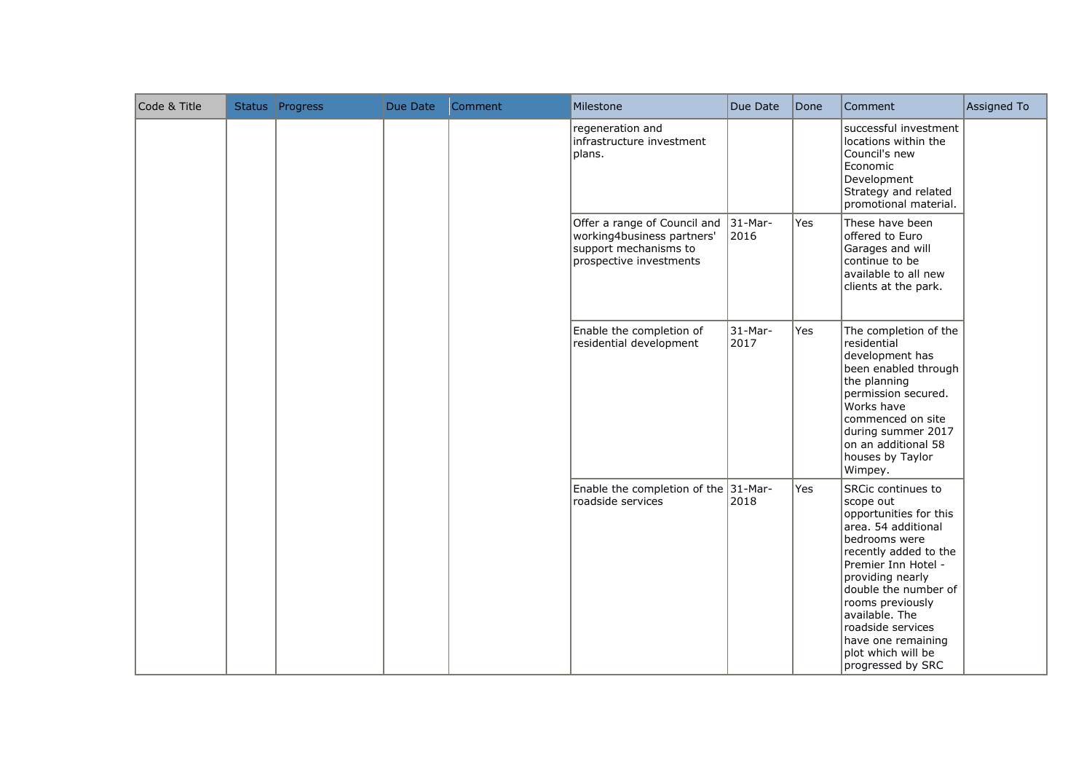| Code & Title | Status Progress | Due Date | Comment | Milestone                                                                                                      | Due Date           | Done | Comment                                                                                                                                                                                                                                                                                                                   | Assigned To |
|--------------|-----------------|----------|---------|----------------------------------------------------------------------------------------------------------------|--------------------|------|---------------------------------------------------------------------------------------------------------------------------------------------------------------------------------------------------------------------------------------------------------------------------------------------------------------------------|-------------|
|              |                 |          |         | regeneration and<br>infrastructure investment<br>plans.                                                        |                    |      | successful investment<br>locations within the<br>Council's new<br>Economic<br>Development<br>Strategy and related<br>promotional material.                                                                                                                                                                                |             |
|              |                 |          |         | Offer a range of Council and<br>working4business partners'<br>support mechanisms to<br>prospective investments | $ 31-Mar-$<br>2016 | Yes  | These have been<br>offered to Euro<br>Garages and will<br>continue to be<br>available to all new<br>clients at the park.                                                                                                                                                                                                  |             |
|              |                 |          |         | Enable the completion of<br>residential development                                                            | $31$ -Mar-<br>2017 | Yes  | The completion of the<br>residential<br>development has<br>been enabled through<br>the planning<br>permission secured.<br>Works have<br>commenced on site<br>during summer 2017<br>on an additional 58<br>houses by Taylor<br>Wimpey.                                                                                     |             |
|              |                 |          |         | Enable the completion of the 31-Mar-<br>roadside services                                                      | 2018               | Yes  | SRCic continues to<br>scope out<br>opportunities for this<br>area. 54 additional<br>bedrooms were<br>recently added to the<br>Premier Inn Hotel -<br>providing nearly<br>double the number of<br>rooms previously<br>available. The<br>roadside services<br>have one remaining<br>plot which will be<br>progressed by SRC |             |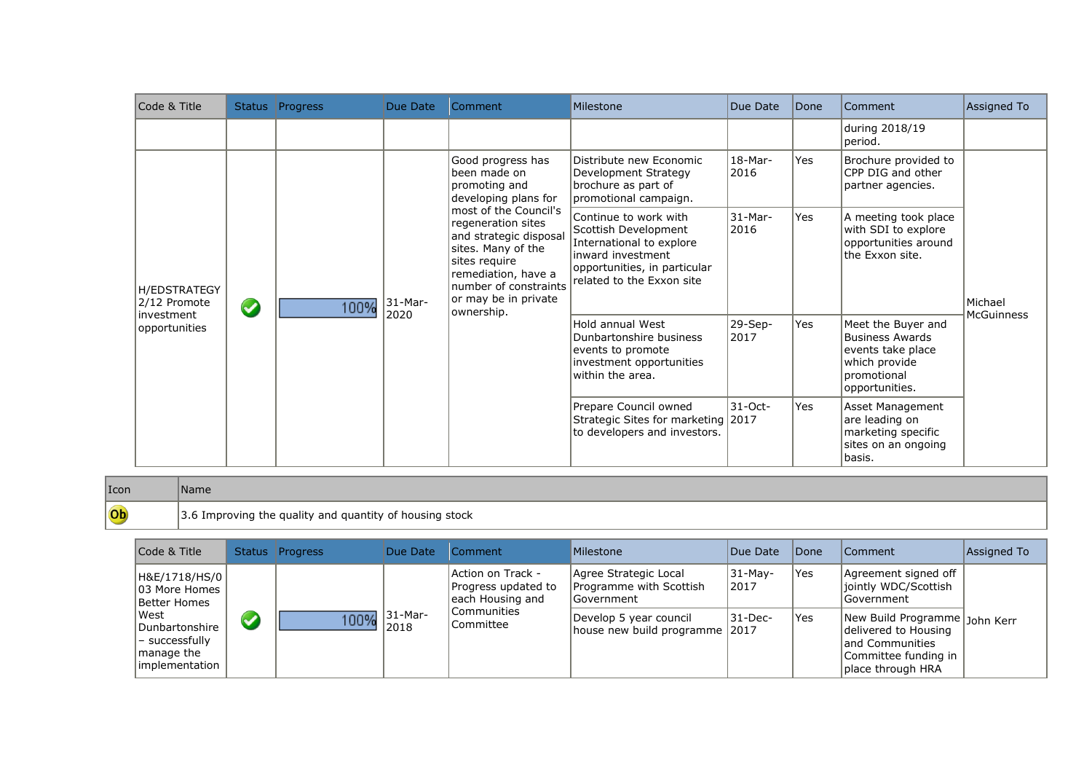| Code & Title                        |                   | Status Progress | Due Date                                                                                                                                                                             | Comment                                                                                                                                                     | Milestone                                                                                                        | Due Date          | Done                                                                                   | Comment                                                                                                             | Assigned To       |
|-------------------------------------|-------------------|-----------------|--------------------------------------------------------------------------------------------------------------------------------------------------------------------------------------|-------------------------------------------------------------------------------------------------------------------------------------------------------------|------------------------------------------------------------------------------------------------------------------|-------------------|----------------------------------------------------------------------------------------|---------------------------------------------------------------------------------------------------------------------|-------------------|
|                                     |                   |                 |                                                                                                                                                                                      |                                                                                                                                                             |                                                                                                                  |                   |                                                                                        | during 2018/19<br>period.                                                                                           |                   |
|                                     |                   |                 |                                                                                                                                                                                      | Good progress has<br>been made on<br>promoting and<br>developing plans for                                                                                  | Distribute new Economic<br>Development Strategy<br>brochure as part of<br>promotional campaign.                  | $18-Mar-$<br>2016 | Yes                                                                                    | Brochure provided to<br>CPP DIG and other<br>partner agencies.                                                      |                   |
| <b>H/EDSTRATEGY</b><br>2/12 Promote | $\bullet$<br>100% | 31-Mar-         | most of the Council's<br>regeneration sites<br>and strategic disposal<br>sites. Many of the<br>sites require<br>remediation, have a<br>number of constraints<br>or may be in private | Continue to work with<br>Scottish Development<br>International to explore<br>inward investment<br>opportunities, in particular<br>related to the Exxon site | $31-Mar-$<br>2016                                                                                                | Yes               | A meeting took place<br>with SDI to explore<br>opportunities around<br>the Exxon site. | Michael                                                                                                             |                   |
| investment<br>opportunities         |                   |                 | 2020                                                                                                                                                                                 | ownership.                                                                                                                                                  | Hold annual West<br>Dunbartonshire business<br>events to promote<br>investment opportunities<br>within the area. | 29-Sep-<br>2017   | Yes                                                                                    | Meet the Buyer and<br><b>Business Awards</b><br>events take place<br>which provide<br>promotional<br>opportunities. | <b>McGuinness</b> |
|                                     |                   |                 |                                                                                                                                                                                      |                                                                                                                                                             | Prepare Council owned<br>Strategic Sites for marketing 2017<br>to developers and investors.                      | $31 - Oct -$      | Yes                                                                                    | Asset Management<br>are leading on<br>marketing specific<br>sites on an ongoing<br>basis.                           |                   |

| $ I$ con | Name.                                                   |
|----------|---------------------------------------------------------|
| Ob       | 3.6 Improving the quality and quantity of housing stock |

| Code & Title                                                              |   | Status Progress | Due Date | Comment                                                      | Milestone                                                       | Due Date         | Done | Comment                                                                                                                | Assigned To |
|---------------------------------------------------------------------------|---|-----------------|----------|--------------------------------------------------------------|-----------------------------------------------------------------|------------------|------|------------------------------------------------------------------------------------------------------------------------|-------------|
| H&E/1718/HS/0  <br>103 More Homes<br>Better Homes                         |   |                 |          | Action on Track -<br>Progress updated to<br>each Housing and | Agree Strategic Local<br>Programme with Scottish<br> Government | 31-Mav-<br> 2017 | Yes  | Agreement signed off<br>iointly WDC/Scottish<br>Government                                                             |             |
| West<br>Dunbartonshire<br>- successfully<br>manage the<br>limplementation | V | $100\%$ 31-Mar- | 2018     | Communities<br>Committee                                     | Develop 5 year council<br>house new build programme 12017       | 31-Dec-          | Yes  | New Build Programme John Kerr<br>delivered to Housing<br>land Communities<br>Committee funding in<br>place through HRA |             |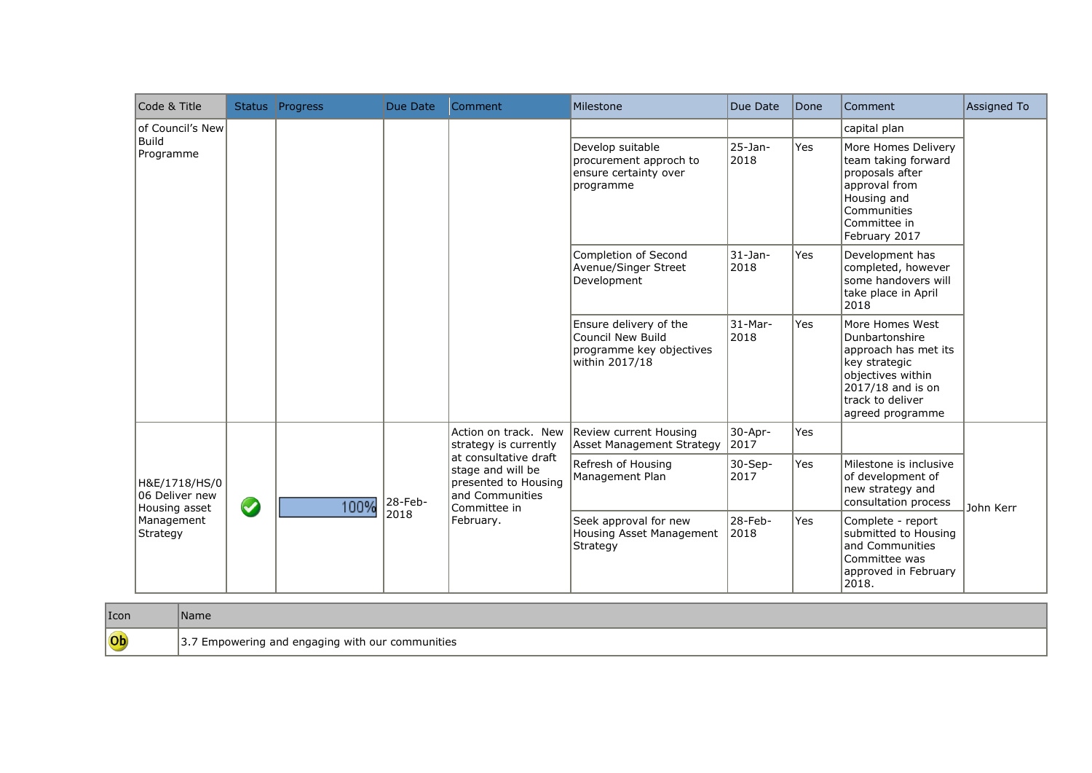| Code & Title                                     |           | Status Progress | Due Date | Comment                                                                                               | Milestone                                                                                 | Due Date            | Done       | Comment                                                                                                                                                      | Assigned To |
|--------------------------------------------------|-----------|-----------------|----------|-------------------------------------------------------------------------------------------------------|-------------------------------------------------------------------------------------------|---------------------|------------|--------------------------------------------------------------------------------------------------------------------------------------------------------------|-------------|
| of Council's New<br><b>Build</b>                 |           |                 |          |                                                                                                       |                                                                                           |                     |            | capital plan                                                                                                                                                 |             |
| Programme                                        |           |                 |          |                                                                                                       | Develop suitable<br>procurement approch to<br>ensure certainty over<br>programme          | 25-Jan-<br>2018     | Yes        | More Homes Delivery<br>team taking forward<br>proposals after<br>approval from<br>Housing and<br>Communities<br>Committee in<br>February 2017                |             |
|                                                  |           |                 |          |                                                                                                       | Completion of Second<br>Avenue/Singer Street<br>Development                               | 31-Jan-<br>2018     | Yes        | Development has<br>completed, however<br>some handovers will<br>take place in April<br>2018                                                                  |             |
|                                                  |           |                 |          |                                                                                                       | Ensure delivery of the<br>Council New Build<br>programme key objectives<br>within 2017/18 | 31-Mar-<br>2018     | <b>Yes</b> | More Homes West<br>Dunbartonshire<br>approach has met its<br>key strategic<br>objectives within<br>2017/18 and is on<br>track to deliver<br>agreed programme |             |
|                                                  |           |                 |          | Action on track. New<br>strategy is currently                                                         | Review current Housing<br>Asset Management Strategy                                       | $30 - Apr-$<br>2017 | Yes        |                                                                                                                                                              |             |
| H&E/1718/HS/0<br>06 Deliver new<br>Housing asset | $\bullet$ | 100%            | 28-Feb-  | at consultative draft<br>stage and will be<br>presented to Housing<br>and Communities<br>Committee in | Refresh of Housing<br>Management Plan                                                     | $30-Sep-$<br>2017   | Yes        | Milestone is inclusive<br>of development of<br>new strategy and<br>consultation process                                                                      | John Kerr   |
| Management<br>Strategy                           |           |                 | 2018     | February.                                                                                             | Seek approval for new<br>Housing Asset Management<br>Strategy                             | 28-Feb-<br>2018     | Yes        | Complete - report<br>submitted to Housing<br>and Communities<br>Committee was<br>approved in February<br>2018.                                               |             |

| $ I$ con | Name                                                |
|----------|-----------------------------------------------------|
| Ob       | ' Empowering and engaging with our communities<br>。 |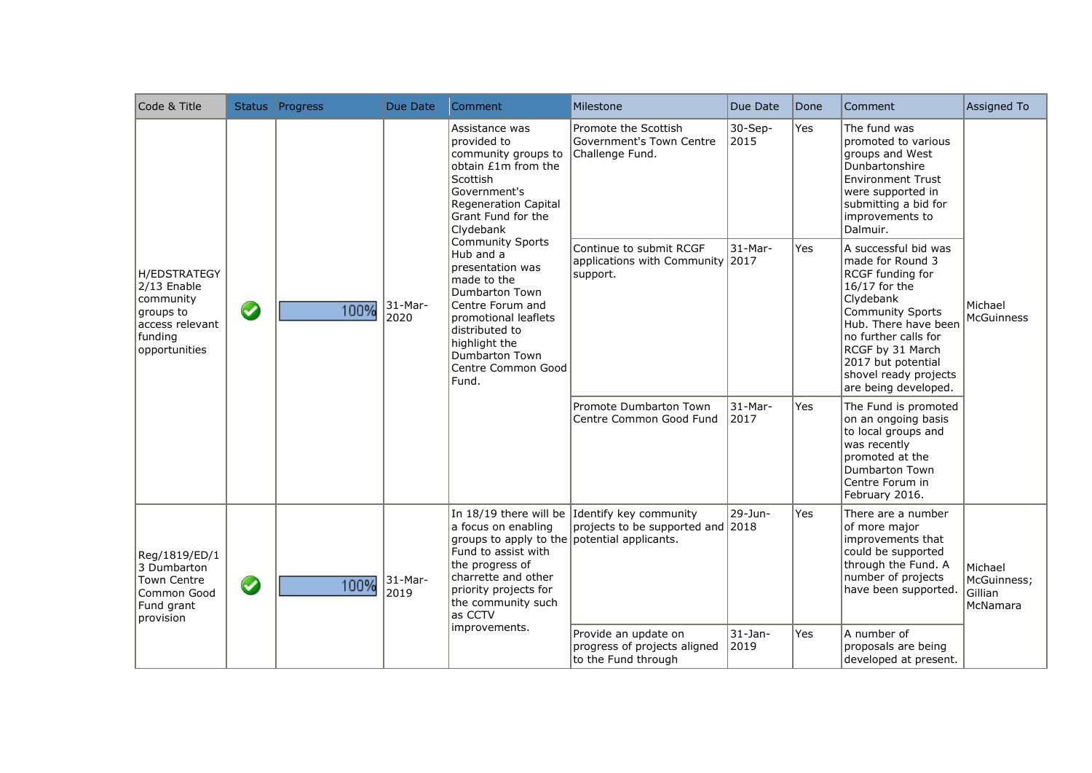| Code & Title                                                                                                |           | Status Progress | Due Date           | Comment                                                                                                                                                                                                                   | Milestone                                                                          | Due Date             | Done | Comment                                                                                                                                                                                                                                                          | Assigned To                                   |
|-------------------------------------------------------------------------------------------------------------|-----------|-----------------|--------------------|---------------------------------------------------------------------------------------------------------------------------------------------------------------------------------------------------------------------------|------------------------------------------------------------------------------------|----------------------|------|------------------------------------------------------------------------------------------------------------------------------------------------------------------------------------------------------------------------------------------------------------------|-----------------------------------------------|
|                                                                                                             |           |                 |                    | Assistance was<br>provided to<br>community groups to<br>obtain £1m from the<br><b>Scottish</b><br>Government's<br><b>Regeneration Capital</b><br>Grant Fund for the<br>Clydebank                                          | Promote the Scottish<br>Government's Town Centre<br>Challenge Fund.                | $30-$ Sep-<br>2015   | Yes  | The fund was<br>promoted to various<br>groups and West<br>Dunbartonshire<br><b>Environment Trust</b><br>were supported in<br>submitting a bid for<br>improvements to<br>Dalmuir.                                                                                 |                                               |
| <b>H/EDSTRATEGY</b><br>2/13 Enable<br>community<br>groups to<br>access relevant<br>funding<br>opportunities | $\bullet$ | 100%            | $31$ -Mar-<br>2020 | <b>Community Sports</b><br>Hub and a<br>presentation was<br>made to the<br>Dumbarton Town<br>Centre Forum and<br>promotional leaflets<br>distributed to<br>highlight the<br>Dumbarton Town<br>Centre Common Good<br>Fund. | Continue to submit RCGF<br>applications with Community 2017<br>support.            | $31-Mar-$            | Yes  | A successful bid was<br>made for Round 3<br>RCGF funding for<br>16/17 for the<br>Clydebank<br><b>Community Sports</b><br>Hub. There have been<br>no further calls for<br>RCGF by 31 March<br>2017 but potential<br>shovel ready projects<br>are being developed. | Michael<br><b>McGuinness</b>                  |
|                                                                                                             |           |                 |                    |                                                                                                                                                                                                                           | Promote Dumbarton Town<br>Centre Common Good Fund                                  | $31-Mar-$<br>2017    | Yes  | The Fund is promoted<br>on an ongoing basis<br>to local groups and<br>was recently<br>promoted at the<br><b>Dumbarton Town</b><br>Centre Forum in<br>February 2016.                                                                                              |                                               |
| Reg/1819/ED/1<br>3 Dumbarton<br><b>Town Centre</b><br>Common Good<br>Fund grant<br>provision                | $\bullet$ | 100%            | 31-Mar-<br>2019    | a focus on enabling<br>groups to apply to the potential applicants.<br>Fund to assist with<br>the progress of<br>charrette and other<br>priority projects for<br>the community such<br>as CCTV                            | In 18/19 there will be Identify key community<br>projects to be supported and 2018 | 29-Jun-              | Yes  | There are a number<br>of more major<br>improvements that<br>could be supported<br>through the Fund. A<br>number of projects<br>have been supported.                                                                                                              | Michael<br>McGuinness;<br>Gillian<br>McNamara |
|                                                                                                             |           |                 |                    | improvements.                                                                                                                                                                                                             | Provide an update on<br>progress of projects aligned<br>to the Fund through        | $31 - Jan -$<br>2019 | Yes  | A number of<br>proposals are being<br>developed at present.                                                                                                                                                                                                      |                                               |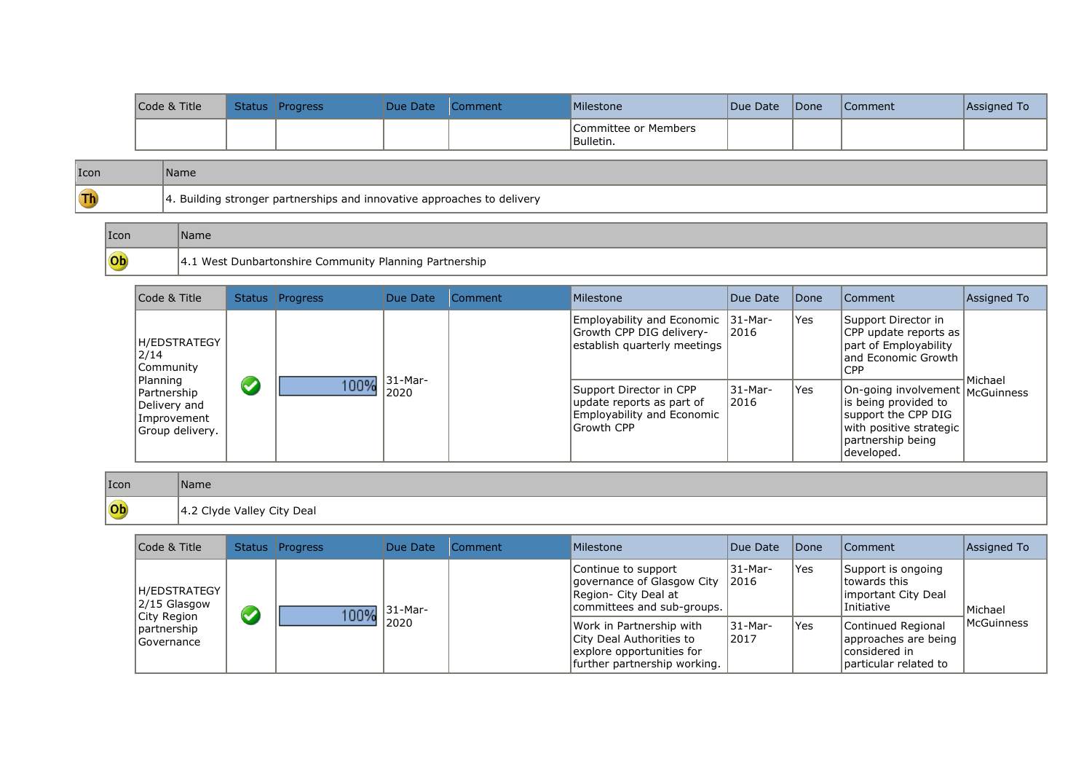| Code & Title | Status Progress | Due Date | Comment | Milestone                          | Due Date | <i><b>IDone</b></i> | <b>Comment</b> | Assigned To |
|--------------|-----------------|----------|---------|------------------------------------|----------|---------------------|----------------|-------------|
|              |                 |          |         | lCommittee or Members<br>Bulletin. |          |                     |                |             |

| Icon | <b>s</b> ame                                                                              |
|------|-------------------------------------------------------------------------------------------|
| $Th$ | 4. Building stronger partnerships and innovative approaches to delivery<br>$\overline{ }$ |

| $ I$ con | Name                                                         |
|----------|--------------------------------------------------------------|
| Ob       | L West Dunbartonshire Community Planning Partnership<br>14.1 |

| Code & Title                                                  | Status               | <b>Progress</b> | Due Date              | Comment | Milestone                                                                                        | Due Date         | <i><b>Done</b></i> | Comment                                                                                                                                        | Assigned To |
|---------------------------------------------------------------|----------------------|-----------------|-----------------------|---------|--------------------------------------------------------------------------------------------------|------------------|--------------------|------------------------------------------------------------------------------------------------------------------------------------------------|-------------|
| <b>H/EDSTRATEGY</b><br>2/14<br>Community<br>Planning          |                      |                 |                       |         | Employability and Economic 31-Mar-<br>Growth CPP DIG delivery-<br>establish quarterly meetings   | 2016             | Yes                | Support Director in<br>CPP update reports as<br>part of Employability<br>and Economic Growth<br><b>CPP</b>                                     |             |
| Partnership<br>Delivery and<br>Improvement<br>Group delivery. | $\blacktriangledown$ | 100%            | $ 31 - Mar -$<br>2020 |         | Support Director in CPP<br>update reports as part of<br>Employability and Economic<br>Growth CPP | 31-Mar-<br> 2016 | Yes                | On-going involvement   McGuinness<br>is being provided to<br>support the CPP DIG<br>with positive strategic<br>partnership being<br>developed. | Michael     |

| Icon | Name                       |
|------|----------------------------|
| Ob   | 4.2 Clyde Valley City Deal |

| Code & Title                                |                      | Status Progress | Due Date | <b>Comment</b> | Milestone                                                                                                         | Due Date                  | <b>Done</b> | Comment                                                                               | Assigned To           |
|---------------------------------------------|----------------------|-----------------|----------|----------------|-------------------------------------------------------------------------------------------------------------------|---------------------------|-------------|---------------------------------------------------------------------------------------|-----------------------|
| H/EDSTRATEGY<br>2/15 Glasgow<br>City Region | $\blacktriangledown$ | 100%            | 31-Mar-  |                | Continue to support<br>qovernance of Glasgow City<br>Region- City Deal at<br>committees and sub-groups.           | 31-Mar-<br>$ 2016\rangle$ | Yes         | Support is ongoing<br>towards this<br>Important City Deal<br>Initiative               | Michael<br>McGuinness |
| partnership<br>Governance                   |                      |                 | 2020     |                | Work in Partnership with<br>City Deal Authorities to<br>explore opportunities for<br>further partnership working. | 31-Mar-<br> 2017          | Yes         | Continued Regional<br>approaches are being<br>considered in<br>Iparticular related to |                       |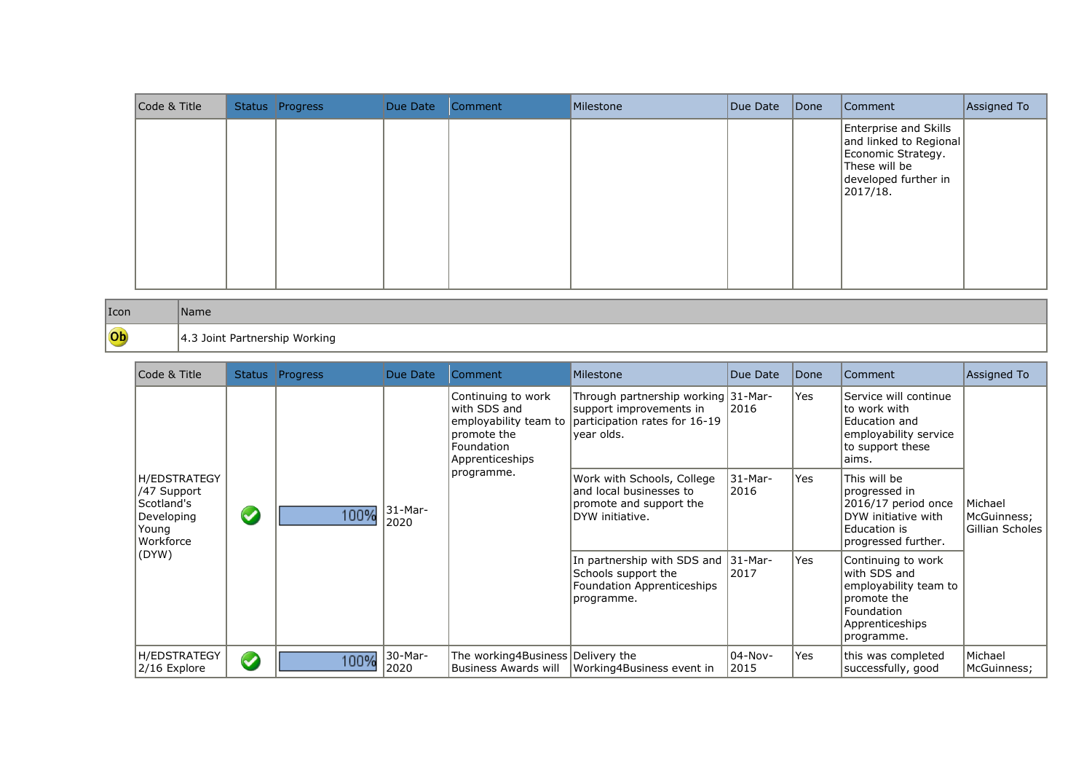| Code & Title | Status Progress | Due Date | Comment | Milestone | Due Date | $\vert$ Done | Comment                                                                                                                           | Assigned To |
|--------------|-----------------|----------|---------|-----------|----------|--------------|-----------------------------------------------------------------------------------------------------------------------------------|-------------|
|              |                 |          |         |           |          |              | <b>Enterprise and Skills</b><br>and linked to Regional<br>Economic Strategy.<br>These will be<br>developed further in<br>2017/18. |             |

| Icon | Name                                |
|------|-------------------------------------|
| Ob   | .3 Joint Partnership Working<br>᠇.J |

| Code & Title                                                                         |                      | Status Progress                                                                                                                                                                                                                                                                                                                                                                                                                                                                                                              | Due Date        | Comment                                                                                                                   | Milestone                 | Due Date        | Done                                                                                                               | Comment                                                                                                       | Assigned To            |
|--------------------------------------------------------------------------------------|----------------------|------------------------------------------------------------------------------------------------------------------------------------------------------------------------------------------------------------------------------------------------------------------------------------------------------------------------------------------------------------------------------------------------------------------------------------------------------------------------------------------------------------------------------|-----------------|---------------------------------------------------------------------------------------------------------------------------|---------------------------|-----------------|--------------------------------------------------------------------------------------------------------------------|---------------------------------------------------------------------------------------------------------------|------------------------|
|                                                                                      |                      | Continuing to work<br>Through partnership working 31-Mar-<br>with SDS and<br>2016<br>support improvements in<br>employability team to<br>participation rates for 16-19<br>year olds.<br>promote the<br>Foundation<br>Apprenticeships<br>programme.<br>Work with Schools, College<br> 31-Mar-<br>and local businesses to<br>2016<br>promote and support the<br>$31-Mar-$<br>100%<br>DYW initiative.<br>2020<br>In partnership with SDS and 31-Mar-<br>Schools support the<br>2017<br>Foundation Apprenticeships<br>programme. |                 |                                                                                                                           |                           |                 | Yes                                                                                                                | Service will continue<br>lto work with<br>Education and<br>employability service<br>to support these<br>aims. |                        |
| <b>H/EDSTRATEGY</b><br>/47 Support<br>Scotland's<br>Developing<br>Young<br>Workforce | $\blacktriangledown$ |                                                                                                                                                                                                                                                                                                                                                                                                                                                                                                                              |                 |                                                                                                                           |                           | Yes             | This will be<br>progressed in<br>2016/17 period once<br>DYW initiative with<br>Education is<br>progressed further. | Michael<br>McGuinness;<br>Gillian Scholes                                                                     |                        |
| (DYW)                                                                                |                      |                                                                                                                                                                                                                                                                                                                                                                                                                                                                                                                              | Yes             | Continuing to work<br>with SDS and<br>employability team to<br>promote the<br>Foundation<br>Apprenticeships<br>programme. |                           |                 |                                                                                                                    |                                                                                                               |                        |
| <b>H/EDSTRATEGY</b><br>2/16 Explore                                                  | $\boldsymbol{Q}$     | 100%                                                                                                                                                                                                                                                                                                                                                                                                                                                                                                                         | 30-Mar-<br>2020 | The working4Business Delivery the<br>Business Awards will                                                                 | Working4Business event in | 04-Nov-<br>2015 | Yes                                                                                                                | this was completed<br>successfully, good                                                                      | Michael<br>McGuinness; |